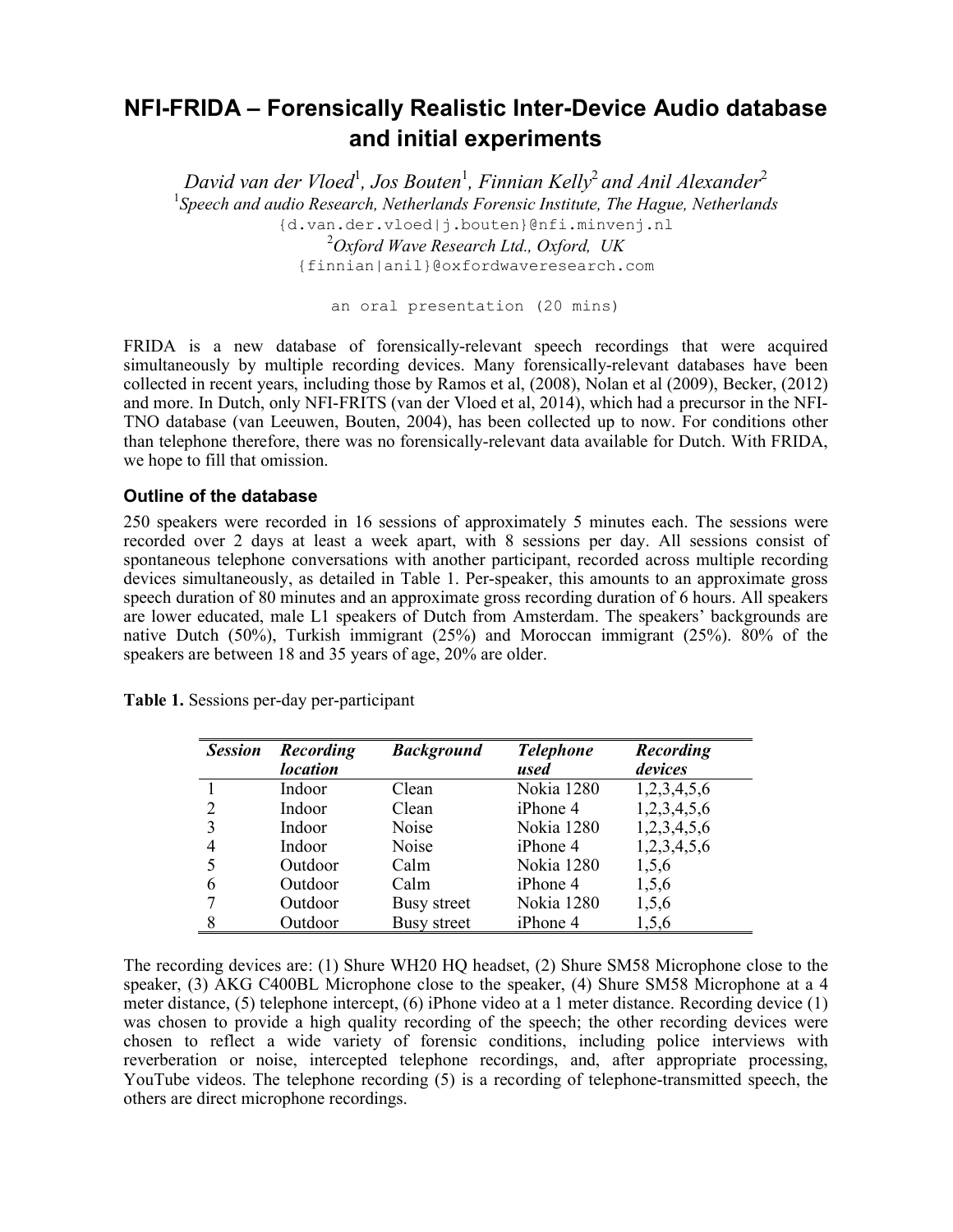# NFI-FRIDA – Forensically Realistic Inter-Device Audio database and initial experiments

*David van der Vloed*<sup>1</sup> *, Jos Bouten*<sup>1</sup> *, Finnian Kelly*<sup>2</sup>*and Anil Alexander*<sup>2</sup> <sup>1</sup>Speech and audio Research, Netherlands Forensic Institute, The Hague, Netherlands {d.van.der.vloed|j.bouten}@nfi.minvenj.nl 2 *Oxford Wave Research Ltd., Oxford, UK* {finnian|anil}@oxfordwaveresearch.com

an oral presentation (20 mins)

FRIDA is a new database of forensically-relevant speech recordings that were acquired simultaneously by multiple recording devices. Many forensically-relevant databases have been collected in recent years, including those by Ramos et al, (2008), Nolan et al (2009), Becker, (2012) and more. In Dutch, only NFI-FRITS (van der Vloed et al, 2014), which had a precursor in the NFI-TNO database (van Leeuwen, Bouten, 2004), has been collected up to now. For conditions other than telephone therefore, there was no forensically-relevant data available for Dutch. With FRIDA, we hope to fill that omission.

## Outline of the database

250 speakers were recorded in 16 sessions of approximately 5 minutes each. The sessions were recorded over 2 days at least a week apart, with 8 sessions per day. All sessions consist of spontaneous telephone conversations with another participant, recorded across multiple recording devices simultaneously, as detailed in Table 1. Per-speaker, this amounts to an approximate gross speech duration of 80 minutes and an approximate gross recording duration of 6 hours. All speakers are lower educated, male L1 speakers of Dutch from Amsterdam. The speakers' backgrounds are native Dutch (50%), Turkish immigrant (25%) and Moroccan immigrant (25%). 80% of the speakers are between 18 and 35 years of age, 20% are older.

| <b>Session</b> | Recording<br><i>location</i> | <b>Background</b>  | <b>Telephone</b><br>used | Recording<br>devices |
|----------------|------------------------------|--------------------|--------------------------|----------------------|
|                | Indoor                       | Clean              | Nokia 1280               | 1,2,3,4,5,6          |
|                | Indoor                       | Clean              | iPhone 4                 | 1,2,3,4,5,6          |
|                | Indoor                       | Noise              | Nokia 1280               | 1,2,3,4,5,6          |
| 4              | Indoor                       | Noise              | iPhone 4                 | 1,2,3,4,5,6          |
|                | Outdoor                      | Calm               | Nokia 1280               | 1,5,6                |
| 6              | Outdoor                      | Calm               | iPhone 4                 | 1,5,6                |
|                | Outdoor                      | Busy street        | Nokia 1280               | 1,5,6                |
| 8              | Outdoor                      | <b>Busy</b> street | iPhone 4                 | 1,5,6                |

Table 1. Sessions per-day per-participant

The recording devices are: (1) Shure WH20 HQ headset, (2) Shure SM58 Microphone close to the speaker, (3) AKG C400BL Microphone close to the speaker, (4) Shure SM58 Microphone at a 4 meter distance, (5) telephone intercept, (6) iPhone video at a 1 meter distance. Recording device (1) was chosen to provide a high quality recording of the speech; the other recording devices were chosen to reflect a wide variety of forensic conditions, including police interviews with reverberation or noise, intercepted telephone recordings, and, after appropriate processing, YouTube videos. The telephone recording (5) is a recording of telephone-transmitted speech, the others are direct microphone recordings.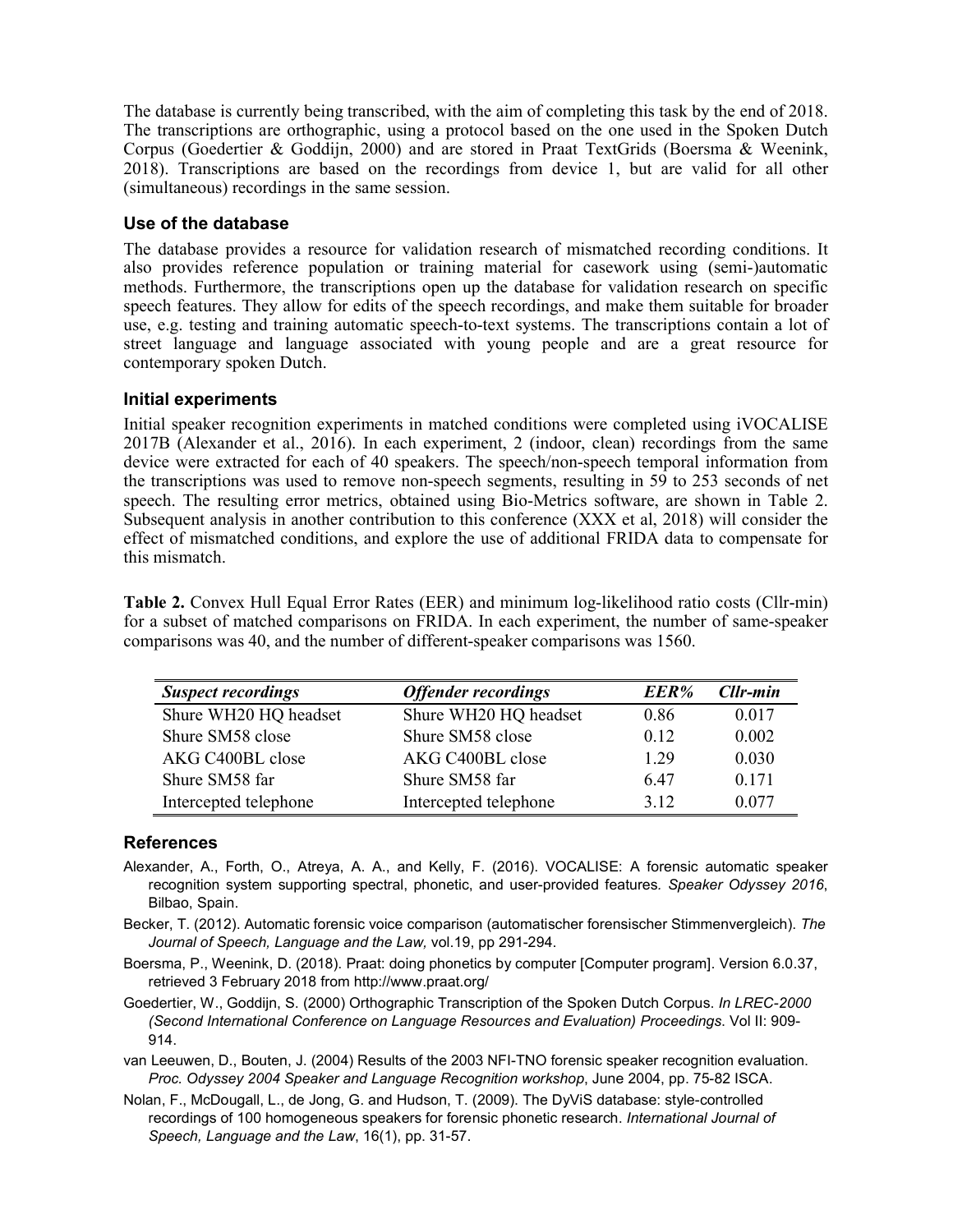The database is currently being transcribed, with the aim of completing this task by the end of 2018. The transcriptions are orthographic, using a protocol based on the one used in the Spoken Dutch Corpus (Goedertier & Goddijn, 2000) and are stored in Praat TextGrids (Boersma & Weenink, 2018). Transcriptions are based on the recordings from device 1, but are valid for all other (simultaneous) recordings in the same session.

## Use of the database

The database provides a resource for validation research of mismatched recording conditions. It also provides reference population or training material for casework using (semi-)automatic methods. Furthermore, the transcriptions open up the database for validation research on specific speech features. They allow for edits of the speech recordings, and make them suitable for broader use, e.g. testing and training automatic speech-to-text systems. The transcriptions contain a lot of street language and language associated with young people and are a great resource for contemporary spoken Dutch.

## Initial experiments

Initial speaker recognition experiments in matched conditions were completed using iVOCALISE 2017B (Alexander et al., 2016). In each experiment, 2 (indoor, clean) recordings from the same device were extracted for each of 40 speakers. The speech/non-speech temporal information from the transcriptions was used to remove non-speech segments, resulting in 59 to 253 seconds of net speech. The resulting error metrics, obtained using Bio-Metrics software, are shown in Table 2. Subsequent analysis in another contribution to this conference (XXX et al, 2018) will consider the effect of mismatched conditions, and explore the use of additional FRIDA data to compensate for this mismatch.

Table 2. Convex Hull Equal Error Rates (EER) and minimum log-likelihood ratio costs (Cllr-min) for a subset of matched comparisons on FRIDA. In each experiment, the number of same-speaker comparisons was 40, and the number of different-speaker comparisons was 1560.

| <b>Suspect recordings</b> | <b>Offender recordings</b> | EER%  | Cllr-min |
|---------------------------|----------------------------|-------|----------|
| Shure WH20 HQ headset     | Shure WH20 HQ headset      | 0.86  | 0.017    |
| Shure SM58 close          | Shure SM58 close           | 0.12  | 0.002    |
| AKG C400BL close          | AKG C400BL close           | 1 29  | 0.030    |
| Shure SM58 far            | Shure SM58 far             | 6.47  | 0.171    |
| Intercepted telephone     | Intercepted telephone      | 3 1 2 | 0.077    |

### **References**

- Alexander, A., Forth, O., Atreya, A. A., and Kelly, F. (2016). VOCALISE: A forensic automatic speaker recognition system supporting spectral, phonetic, and user-provided features*. Speaker Odyssey 2016*, Bilbao, Spain.
- Becker, T. (2012). Automatic forensic voice comparison (automatischer forensischer Stimmenvergleich). *The Journal of Speech, Language and the Law,* vol.19, pp 291-294.
- Boersma, P., Weenink, D. (2018). Praat: doing phonetics by computer [Computer program]. Version 6.0.37, retrieved 3 February 2018 from http://www.praat.org/
- Goedertier, W., Goddijn, S. (2000) Orthographic Transcription of the Spoken Dutch Corpus. *In LREC-2000 (Second International Conference on Language Resources and Evaluation) Proceedings*. Vol II: 909- 914.
- van Leeuwen, D., Bouten, J. (2004) Results of the 2003 NFI-TNO forensic speaker recognition evaluation. *Proc. Odyssey 2004 Speaker and Language Recognition workshop*, June 2004, pp. 75-82 ISCA.
- Nolan, F., McDougall, L., de Jong, G. and Hudson, T. (2009). The DyViS database: style-controlled recordings of 100 homogeneous speakers for forensic phonetic research. *International Journal of Speech, Language and the Law*, 16(1), pp. 31-57.